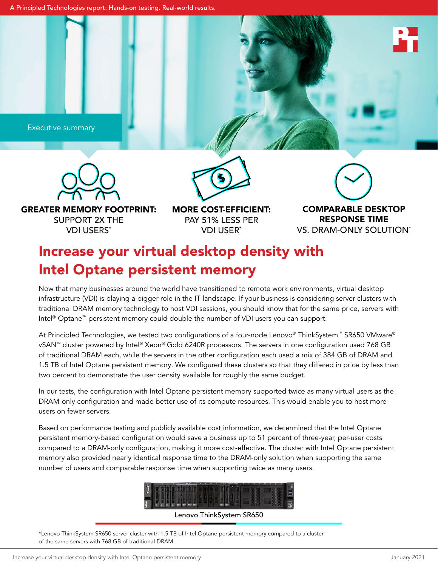Executive summary



GREATER MEMORY FOOTPRINT: SUPPORT 2X THE VDI USERS\*

MORE COST-EFFICIENT: PAY 51% LESS PER

VDI USER\*

 $\boldsymbol{\zeta}$ 

COMPARABLE DESKTOP RESPONSE TIME VS. DRAM-ONLY SOLUTION\*

# Increase your virtual desktop density with Intel Optane persistent memory

Now that many businesses around the world have transitioned to remote work environments, virtual desktop infrastructure (VDI) is playing a bigger role in the IT landscape. If your business is considering server clusters with traditional DRAM memory technology to host VDI sessions, you should know that for the same price, servers with Intel® Optane™ persistent memory could double the number of VDI users you can support.

At Principled Technologies, we tested two configurations of a four-node Lenovo® ThinkSystem™ SR650 VMware® vSAN™ cluster powered by Intel® Xeon® Gold 6240R processors. The servers in one configuration used 768 GB of traditional DRAM each, while the servers in the other configuration each used a mix of 384 GB of DRAM and 1.5 TB of Intel Optane persistent memory. We configured these clusters so that they differed in price by less than two percent to demonstrate the user density available for roughly the same budget.

In our tests, the configuration with Intel Optane persistent memory supported twice as many virtual users as the DRAM-only configuration and made better use of its compute resources. This would enable you to host more users on fewer servers.

Based on performance testing and publicly available cost information, we determined that the Intel Optane persistent memory-based configuration would save a business up to 51 percent of three-year, per-user costs compared to a DRAM-only configuration, making it more cost-effective. The cluster with Intel Optane persistent memory also provided nearly identical response time to the DRAM-only solution when supporting the same number of users and comparable response time when supporting twice as many users.



Lenovo ThinkSystem SR650

\*Lenovo ThinkSystem SR650 server cluster with 1.5 TB of Intel Optane persistent memory compared to a cluster of the same servers with 768 GB of traditional DRAM.